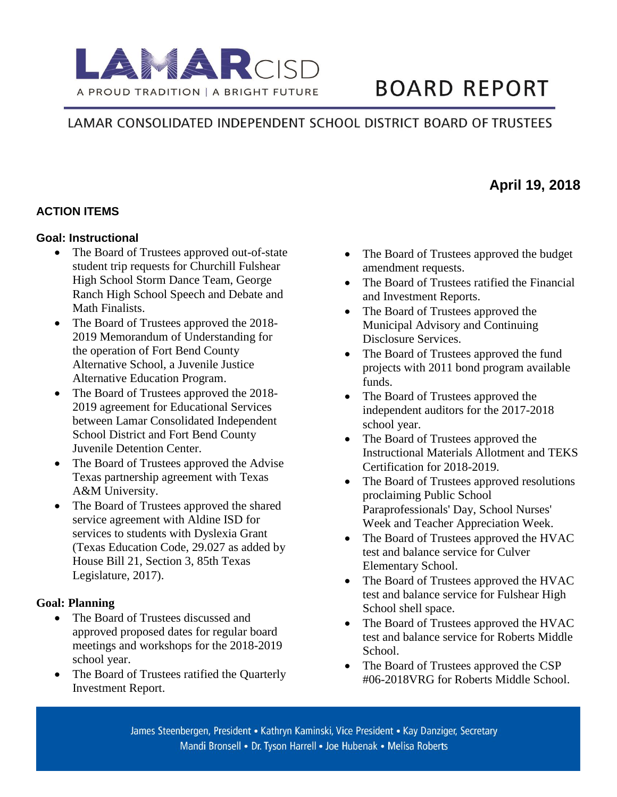

# **BOARD REPORT**

# LAMAR CONSOLIDATED INDEPENDENT SCHOOL DISTRICT BOARD OF TRUSTEES

### **ACTION ITEMS**

#### **Goal: Instructional**

- The Board of Trustees approved out-of-state student trip requests for Churchill Fulshear High School Storm Dance Team, George Ranch High School Speech and Debate and Math Finalists.
- The Board of Trustees approved the 2018-2019 Memorandum of Understanding for the operation of Fort Bend County Alternative School, a Juvenile Justice Alternative Education Program.
- The Board of Trustees approved the 2018-2019 agreement for Educational Services between Lamar Consolidated Independent School District and Fort Bend County Juvenile Detention Center.
- The Board of Trustees approved the Advise Texas partnership agreement with Texas A&M University.
- The Board of Trustees approved the shared service agreement with Aldine ISD for services to students with Dyslexia Grant (Texas Education Code, 29.027 as added by House Bill 21, Section 3, 85th Texas Legislature, 2017).

### **Goal: Planning**

- The Board of Trustees discussed and approved proposed dates for regular board meetings and workshops for the 2018-2019 school year.
- The Board of Trustees ratified the Quarterly Investment Report.
- The Board of Trustees approved the budget amendment requests.
- The Board of Trustees ratified the Financial and Investment Reports.
- The Board of Trustees approved the Municipal Advisory and Continuing Disclosure Services.
- The Board of Trustees approved the fund projects with 2011 bond program available funds.
- The Board of Trustees approved the independent auditors for the 2017-2018 school year.
- The Board of Trustees approved the Instructional Materials Allotment and TEKS Certification for 2018-2019.
- The Board of Trustees approved resolutions proclaiming Public School Paraprofessionals' Day, School Nurses' Week and Teacher Appreciation Week.
- The Board of Trustees approved the HVAC test and balance service for Culver Elementary School.
- The Board of Trustees approved the HVAC test and balance service for Fulshear High School shell space.
- The Board of Trustees approved the HVAC test and balance service for Roberts Middle School.
- The Board of Trustees approved the CSP #06-2018VRG for Roberts Middle School.

# **April 19, 2018**